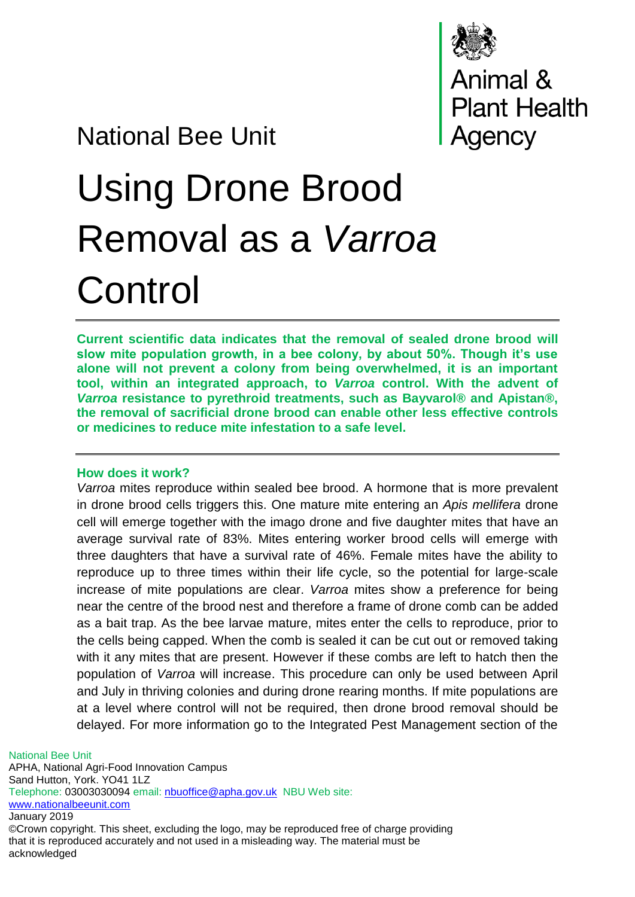

# National Bee Unit

# Using Drone Brood Removal as a *Varroa* **Control**

**Current scientific data indicates that the removal of sealed drone brood will slow mite population growth, in a bee colony, by about 50%. Though it's use alone will not prevent a colony from being overwhelmed, it is an important tool, within an integrated approach, to** *Varroa* **control. With the advent of**  *Varroa* **resistance to pyrethroid treatments, such as Bayvarol® and Apistan®, the removal of sacrificial drone brood can enable other less effective controls or medicines to reduce mite infestation to a safe level.**

#### **How does it work?**

*Varroa* mites reproduce within sealed bee brood. A hormone that is more prevalent in drone brood cells triggers this. One mature mite entering an *Apis mellifera* drone cell will emerge together with the imago drone and five daughter mites that have an average survival rate of 83%. Mites entering worker brood cells will emerge with three daughters that have a survival rate of 46%. Female mites have the ability to reproduce up to three times within their life cycle, so the potential for large-scale increase of mite populations are clear. *Varroa* mites show a preference for being near the centre of the brood nest and therefore a frame of drone comb can be added as a bait trap. As the bee larvae mature, mites enter the cells to reproduce, prior to the cells being capped. When the comb is sealed it can be cut out or removed taking with it any mites that are present. However if these combs are left to hatch then the population of *Varroa* will increase. This procedure can only be used between April and July in thriving colonies and during drone rearing months. If mite populations are at a level where control will not be required, then drone brood removal should be delayed. For more information go to the Integrated Pest Management section of the

National Bee Unit APHA, National Agri-Food Innovation Campus Sand Hutton, York. YO41 1LZ Telephone: 03003030094 email: [nbuoffice@apha.gov.uk](mailto:nbuoffice@apha.gov.uk) NBU Web site: [www.nationalbeeunit.com](http://www.nationalbeeunit.com/) January 2019 ©Crown copyright. This sheet, excluding the logo, may be reproduced free of charge providing

that it is reproduced accurately and not used in a misleading way. The material must be acknowledged